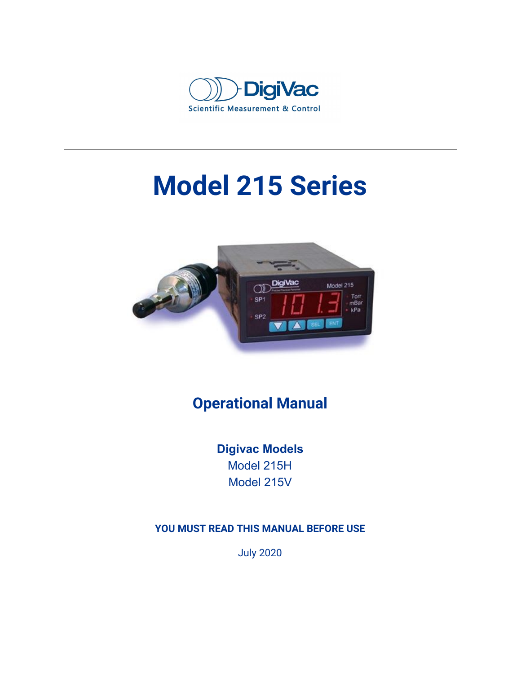

# **Model 215 Series**



### **Operational Manual**

**Digivac Models** Model 215H Model 215V

#### **YOU MUST READ THIS MANUAL BEFORE USE**

July 2020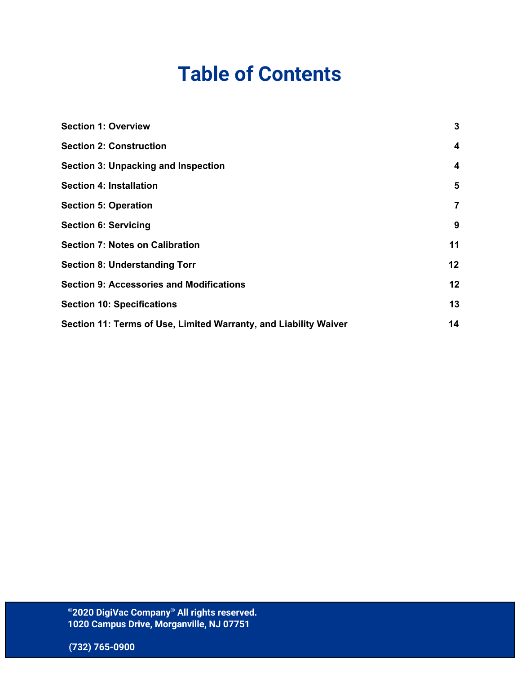## **Table of Contents**

| <b>Section 1: Overview</b>                                       | $\mathbf{3}$            |
|------------------------------------------------------------------|-------------------------|
| <b>Section 2: Construction</b>                                   | $\overline{\mathbf{4}}$ |
| <b>Section 3: Unpacking and Inspection</b>                       | $\overline{\mathbf{4}}$ |
| <b>Section 4: Installation</b>                                   | 5                       |
| <b>Section 5: Operation</b>                                      | $\overline{7}$          |
| <b>Section 6: Servicing</b>                                      | 9                       |
| <b>Section 7: Notes on Calibration</b>                           | 11                      |
| <b>Section 8: Understanding Torr</b>                             | 12                      |
| <b>Section 9: Accessories and Modifications</b>                  | 12                      |
| <b>Section 10: Specifications</b>                                | 13                      |
| Section 11: Terms of Use, Limited Warranty, and Liability Waiver | 14                      |
|                                                                  |                         |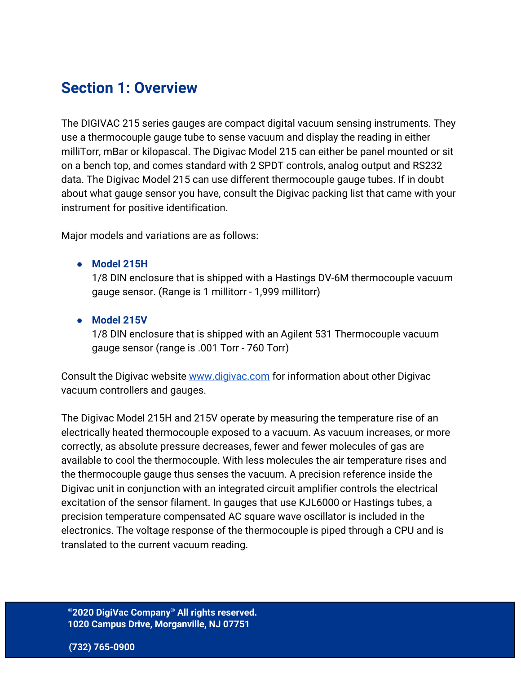### <span id="page-2-0"></span>**Section 1: Overview**

The DIGIVAC 215 series gauges are compact digital vacuum sensing instruments. They use a thermocouple gauge tube to sense vacuum and display the reading in either milliTorr, mBar or kilopascal. The Digivac Model 215 can either be panel mounted or sit on a bench top, and comes standard with 2 SPDT controls, analog output and RS232 data. The Digivac Model 215 can use different thermocouple gauge tubes. If in doubt about what gauge sensor you have, consult the Digivac packing list that came with your instrument for positive identification.

Major models and variations are as follows:

**● Model 215H**

1/8 DIN enclosure that is shipped with a Hastings DV-6M thermocouple vacuum gauge sensor. (Range is 1 millitorr - 1,999 millitorr)

**● Model 215V**

1/8 DIN enclosure that is shipped with an Agilent 531 Thermocouple vacuum gauge sensor (range is .001 Torr - 760 Torr)

Consult the Digivac website [www.digivac.com](http://www.digivac.com/) for information about other Digivac vacuum controllers and gauges.

The Digivac Model 215H and 215V operate by measuring the temperature rise of an electrically heated thermocouple exposed to a vacuum. As vacuum increases, or more correctly, as absolute pressure decreases, fewer and fewer molecules of gas are available to cool the thermocouple. With less molecules the air temperature rises and the thermocouple gauge thus senses the vacuum. A precision reference inside the Digivac unit in conjunction with an integrated circuit amplifier controls the electrical excitation of the sensor filament. In gauges that use KJL6000 or Hastings tubes, a precision temperature compensated AC square wave oscillator is included in the electronics. The voltage response of the thermocouple is piped through a CPU and is translated to the current vacuum reading.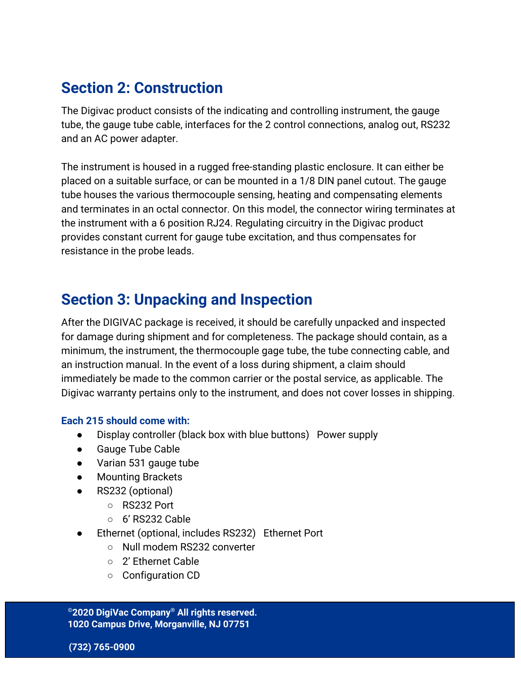### <span id="page-3-0"></span>**Section 2: Construction**

The Digivac product consists of the indicating and controlling instrument, the gauge tube, the gauge tube cable, interfaces for the 2 control connections, analog out, RS232 and an AC power adapter.

The instrument is housed in a rugged free-standing plastic enclosure. It can either be placed on a suitable surface, or can be mounted in a 1/8 DIN panel cutout. The gauge tube houses the various thermocouple sensing, heating and compensating elements and terminates in an octal connector. On this model, the connector wiring terminates at the instrument with a 6 position RJ24. Regulating circuitry in the Digivac product provides constant current for gauge tube excitation, and thus compensates for resistance in the probe leads.

### <span id="page-3-1"></span>**Section 3: Unpacking and Inspection**

After the DIGIVAC package is received, it should be carefully unpacked and inspected for damage during shipment and for completeness. The package should contain, as a minimum, the instrument, the thermocouple gage tube, the tube connecting cable, and an instruction manual. In the event of a loss during shipment, a claim should immediately be made to the common carrier or the postal service, as applicable. The Digivac warranty pertains only to the instrument, and does not cover losses in shipping.

#### **Each 215 should come with:**

- Display controller (black box with blue buttons) Power supply
- **Gauge Tube Cable**
- Varian 531 gauge tube
- **Mounting Brackets**
- RS232 (optional)
	- RS232 Port
	- $\circ$  6' RS232 Cable
- Ethernet (optional, includes RS232) Ethernet Port
	- Null modem RS232 converter
	- 2' Ethernet Cable
	- Configuration CD

**©2020 DigiVac Company ® All rights reserved. 1020 Campus Drive, Morganville, NJ 07751**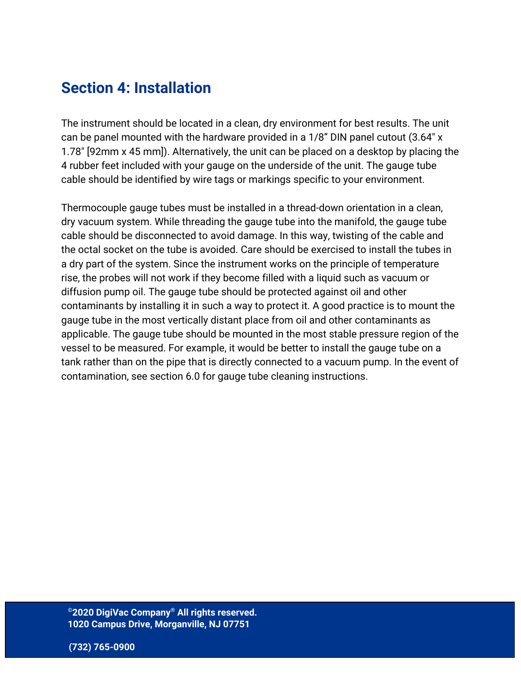### <span id="page-4-0"></span>**Section 4: Installation**

The instrument should be located in a clean, dry environment for best results. The unit can be panel mounted with the hardware provided in a 1/8" DIN panel cutout (3.64" x 1.78" [92mm x 45 mm]). Alternatively, the unit can be placed on a desktop by placing the 4 rubber feet included with your gauge on the underside of the unit. The gauge tube cable should be identified by wire tags or markings specific to your environment.

Thermocouple gauge tubes must be installed in a thread-down orientation in a clean, dry vacuum system. While threading the gauge tube into the manifold, the gauge tube cable should be disconnected to avoid damage. In this way, twisting of the cable and the octal socket on the tube is avoided. Care should be exercised to install the tubes in a dry part of the system. Since the instrument works on the principle of temperature rise, the probes will not work if they become filled with a liquid such as vacuum or diffusion pump oil. The gauge tube should be protected against oil and other contaminants by installing it in such a way to protect it. A good practice is to mount the gauge tube in the most vertically distant place from oil and other contaminants as applicable. The gauge tube should be mounted in the most stable pressure region of the vessel to be measured. For example, it would be better to install the gauge tube on a tank rather than on the pipe that is directly connected to a vacuum pump. In the event of contamination, see section 6.0 for gauge tube cleaning instructions.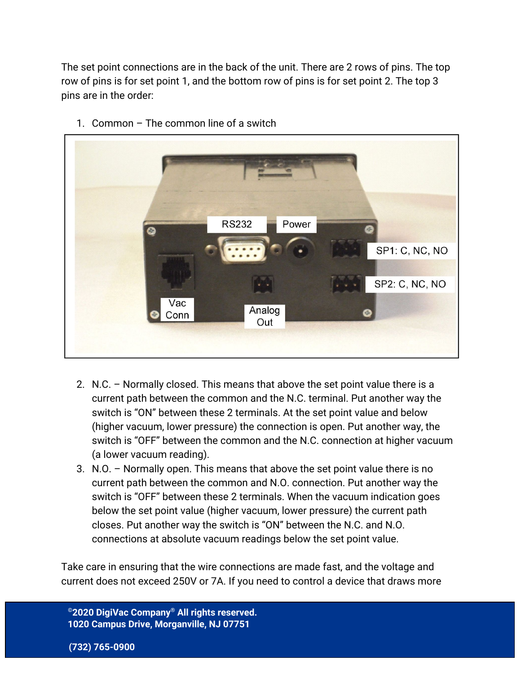The set point connections are in the back of the unit. There are 2 rows of pins. The top row of pins is for set point 1, and the bottom row of pins is for set point 2. The top 3 pins are in the order:



1. Common – The common line of a switch

- 2. N.C. Normally closed. This means that above the set point value there is a current path between the common and the N.C. terminal. Put another way the switch is "ON" between these 2 terminals. At the set point value and below (higher vacuum, lower pressure) the connection is open. Put another way, the switch is "OFF" between the common and the N.C. connection at higher vacuum (a lower vacuum reading).
- 3. N.O. Normally open. This means that above the set point value there is no current path between the common and N.O. connection. Put another way the switch is "OFF" between these 2 terminals. When the vacuum indication goes below the set point value (higher vacuum, lower pressure) the current path closes. Put another way the switch is "ON" between the N.C. and N.O. connections at absolute vacuum readings below the set point value.

Take care in ensuring that the wire connections are made fast, and the voltage and current does not exceed 250V or 7A. If you need to control a device that draws more

**©2020 DigiVac Company ® All rights reserved. 1020 Campus Drive, Morganville, NJ 07751**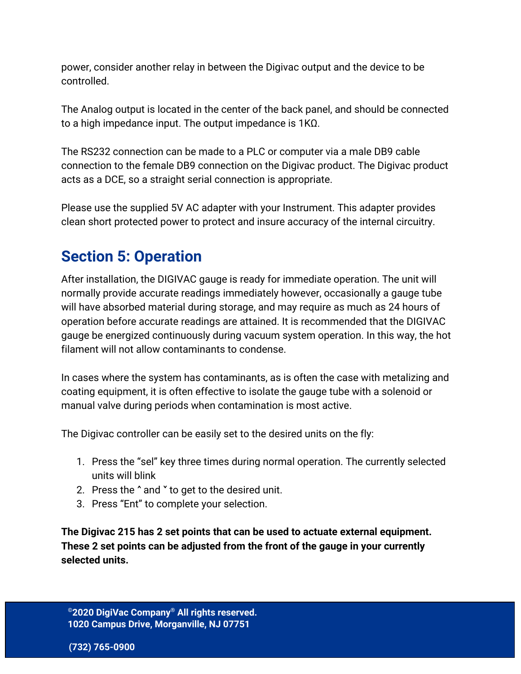power, consider another relay in between the Digivac output and the device to be controlled.

The Analog output is located in the center of the back panel, and should be connected to a high impedance input. The output impedance is 1KΩ.

The RS232 connection can be made to a PLC or computer via a male DB9 cable connection to the female DB9 connection on the Digivac product. The Digivac product acts as a DCE, so a straight serial connection is appropriate.

Please use the supplied 5V AC adapter with your Instrument. This adapter provides clean short protected power to protect and insure accuracy of the internal circuitry.

### <span id="page-6-0"></span>**Section 5: Operation**

After installation, the DIGIVAC gauge is ready for immediate operation. The unit will normally provide accurate readings immediately however, occasionally a gauge tube will have absorbed material during storage, and may require as much as 24 hours of operation before accurate readings are attained. It is recommended that the DIGIVAC gauge be energized continuously during vacuum system operation. In this way, the hot filament will not allow contaminants to condense.

In cases where the system has contaminants, as is often the case with metalizing and coating equipment, it is often effective to isolate the gauge tube with a solenoid or manual valve during periods when contamination is most active.

The Digivac controller can be easily set to the desired units on the fly:

- 1. Press the "sel" key three times during normal operation. The currently selected units will blink
- 2. Press the  $\hat{}$  and  $\check{}$  to get to the desired unit.
- 3. Press "Ent" to complete your selection.

**The Digivac 215 has 2 set points that can be used to actuate external equipment. These 2 set points can be adjusted from the front of the gauge in your currently selected units.**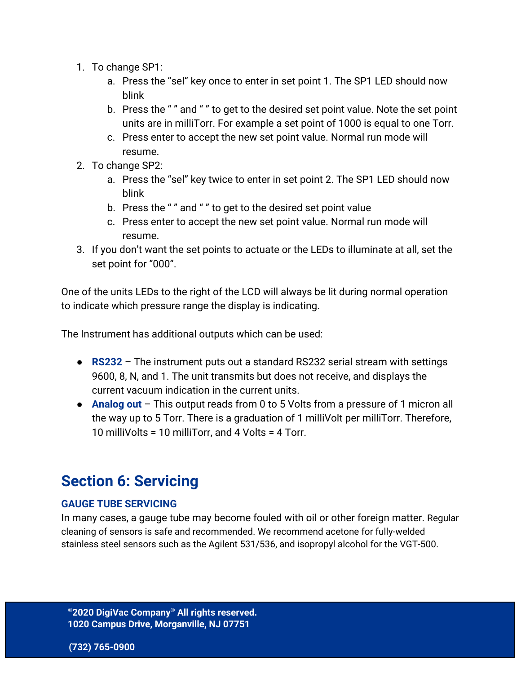- 1. To change SP1:
	- a. Press the "sel" key once to enter in set point 1. The SP1 LED should now blink
	- b. Press the " " and " " to get to the desired set point value. Note the set point units are in milliTorr. For example a set point of 1000 is equal to one Torr.
	- c. Press enter to accept the new set point value. Normal run mode will resume.
- 2. To change SP2:
	- a. Press the "sel" key twice to enter in set point 2. The SP1 LED should now blink
	- b. Press the " " and " " to get to the desired set point value
	- c. Press enter to accept the new set point value. Normal run mode will resume.
- 3. If you don't want the set points to actuate or the LEDs to illuminate at all, set the set point for "000".

One of the units LEDs to the right of the LCD will always be lit during normal operation to indicate which pressure range the display is indicating.

The Instrument has additional outputs which can be used:

- **RS232** The instrument puts out a standard RS232 serial stream with settings 9600, 8, N, and 1. The unit transmits but does not receive, and displays the current vacuum indication in the current units.
- **Analog out** This output reads from 0 to 5 Volts from a pressure of 1 micron all the way up to 5 Torr. There is a graduation of 1 milliVolt per milliTorr. Therefore, 10 milliVolts = 10 milliTorr, and 4 Volts = 4 Torr.

### <span id="page-7-0"></span>**Section 6: Servicing**

#### **GAUGE TUBE SERVICING**

In many cases, a gauge tube may become fouled with oil or other foreign matter. Regular cleaning of sensors is safe and recommended. We recommend acetone for fully-welded stainless steel sensors such as the Agilent 531/536, and isopropyl alcohol for the VGT-500.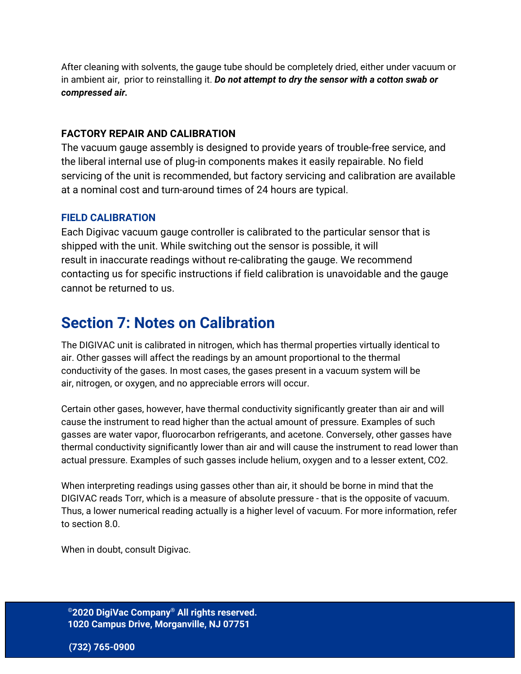After cleaning with solvents, the gauge tube should be completely dried, either under vacuum or in ambient air, prior to reinstalling it. *Do not attempt to dry the sensor with a cotton swab or compressed air.*

#### **FACTORY REPAIR AND CALIBRATION**

The vacuum gauge assembly is designed to provide years of trouble-free service, and the liberal internal use of plug-in components makes it easily repairable. No field servicing of the unit is recommended, but factory servicing and calibration are available at a nominal cost and turn-around times of 24 hours are typical.

#### **FIELD CALIBRATION**

Each Digivac vacuum gauge controller is calibrated to the particular sensor that is shipped with the unit. While switching out the sensor is possible, it will result in inaccurate readings without re-calibrating the gauge. We recommend contacting us for specific instructions if field calibration is unavoidable and the gauge cannot be returned to us.

### <span id="page-8-0"></span>**Section 7: Notes on Calibration**

The DIGIVAC unit is calibrated in nitrogen, which has thermal properties virtually identical to air. Other gasses will affect the readings by an amount proportional to the thermal conductivity of the gases. In most cases, the gases present in a vacuum system will be air, nitrogen, or oxygen, and no appreciable errors will occur.

Certain other gases, however, have thermal conductivity significantly greater than air and will cause the instrument to read higher than the actual amount of pressure. Examples of such gasses are water vapor, fluorocarbon refrigerants, and acetone. Conversely, other gasses have thermal conductivity significantly lower than air and will cause the instrument to read lower than actual pressure. Examples of such gasses include helium, oxygen and to a lesser extent, CO2.

When interpreting readings using gasses other than air, it should be borne in mind that the DIGIVAC reads Torr, which is a measure of absolute pressure - that is the opposite of vacuum. Thus, a lower numerical reading actually is a higher level of vacuum. For more information, refer to section 8.0.

When in doubt, consult Digivac.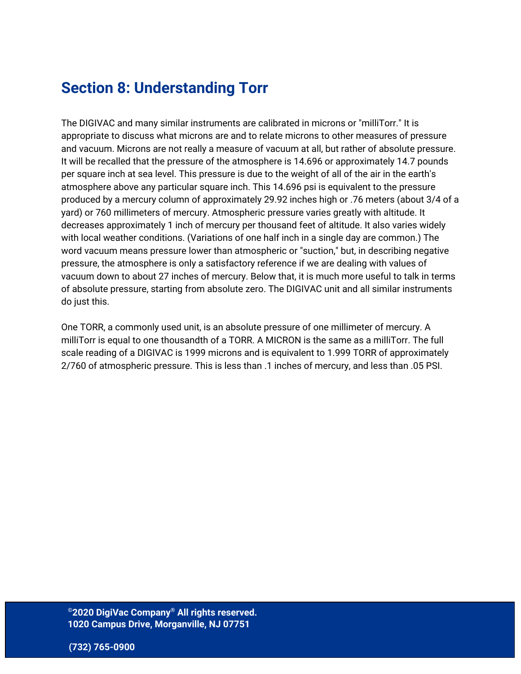### <span id="page-9-0"></span>**Section 8: Understanding Torr**

The DIGIVAC and many similar instruments are calibrated in microns or "milliTorr." It is appropriate to discuss what microns are and to relate microns to other measures of pressure and vacuum. Microns are not really a measure of vacuum at all, but rather of absolute pressure. It will be recalled that the pressure of the atmosphere is 14.696 or approximately 14.7 pounds per square inch at sea level. This pressure is due to the weight of all of the air in the earth's atmosphere above any particular square inch. This 14.696 psi is equivalent to the pressure produced by a mercury column of approximately 29.92 inches high or .76 meters (about 3/4 of a yard) or 760 millimeters of mercury. Atmospheric pressure varies greatly with altitude. It decreases approximately 1 inch of mercury per thousand feet of altitude. It also varies widely with local weather conditions. (Variations of one half inch in a single day are common.) The word vacuum means pressure lower than atmospheric or "suction," but, in describing negative pressure, the atmosphere is only a satisfactory reference if we are dealing with values of vacuum down to about 27 inches of mercury. Below that, it is much more useful to talk in terms of absolute pressure, starting from absolute zero. The DIGIVAC unit and all similar instruments do just this.

One TORR, a commonly used unit, is an absolute pressure of one millimeter of mercury. A milliTorr is equal to one thousandth of a TORR. A MICRON is the same as a milliTorr. The full scale reading of a DIGIVAC is 1999 microns and is equivalent to 1.999 TORR of approximately 2/760 of atmospheric pressure. This is less than .1 inches of mercury, and less than .05 PSI.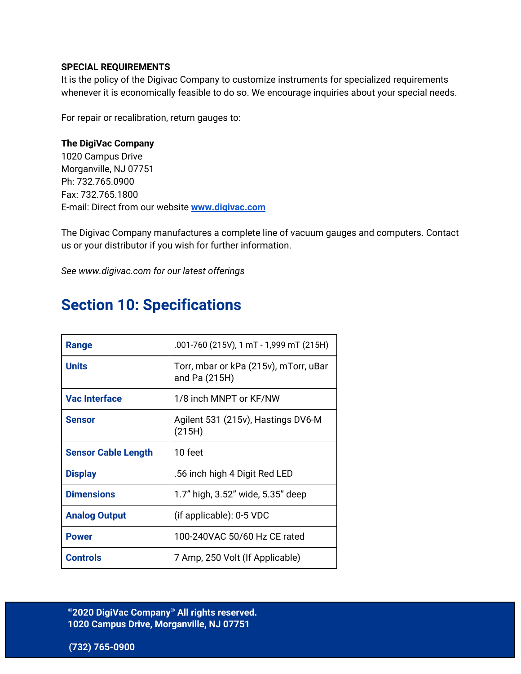#### **SPECIAL REQUIREMENTS**

It is the policy of the Digivac Company to customize instruments for specialized requirements whenever it is economically feasible to do so. We encourage inquiries about your special needs.

For repair or recalibration, return gauges to:

#### **The DigiVac Company**

1020 Campus Drive Morganville, NJ 07751 Ph: 732.765.0900 Fax: 732.765.1800 E-mail: Direct from our website **[www.digivac.com](http://www.digivac.com/)**

The Digivac Company manufactures a complete line of vacuum gauges and computers. Contact us or your distributor if you wish for further information.

<span id="page-10-0"></span>*See www.digivac.com for our latest offerings*

### **Section 10: Specifications**

| Range                      | .001-760 (215V), 1 mT - 1,999 mT (215H)                |
|----------------------------|--------------------------------------------------------|
| <b>Units</b>               | Torr, mbar or kPa (215v), mTorr, uBar<br>and Pa (215H) |
| <b>Vac Interface</b>       | 1/8 inch MNPT or KF/NW                                 |
| <b>Sensor</b>              | Agilent 531 (215v), Hastings DV6-M<br>(215H)           |
| <b>Sensor Cable Length</b> | 10 feet                                                |
| <b>Display</b>             | .56 inch high 4 Digit Red LED                          |
| <b>Dimensions</b>          | 1.7" high, 3.52" wide, 5.35" deep                      |
| <b>Analog Output</b>       | (if applicable): 0-5 VDC                               |
| <b>Power</b>               | 100-240VAC 50/60 Hz CE rated                           |
| <b>Controls</b>            | 7 Amp, 250 Volt (If Applicable)                        |

**©2020 DigiVac Company ® All rights reserved. 1020 Campus Drive, Morganville, NJ 07751**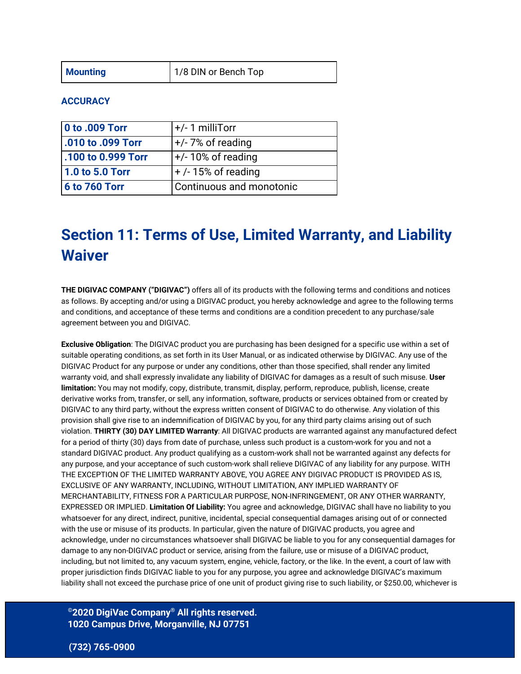#### **ACCURACY**

| <b>0 to .009 Torr</b> | $+/- 1$ milliTorr        |
|-----------------------|--------------------------|
| .010 to .099 Torr     | $+/-$ 7% of reading      |
| 100 to 0.999 Torr     | $+/- 10\%$ of reading    |
| 1.0 to 5.0 Torr       | $+$ /-15% of reading     |
| <b>6 to 760 Torr</b>  | Continuous and monotonic |

### <span id="page-11-0"></span>**Section 11: Terms of Use, Limited Warranty, and Liability Waiver**

**THE DIGIVAC COMPANY ("DIGIVAC")** offers all of its products with the following terms and conditions and notices as follows. By accepting and/or using a DIGIVAC product, you hereby acknowledge and agree to the following terms and conditions, and acceptance of these terms and conditions are a condition precedent to any purchase/sale agreement between you and DIGIVAC.

**Exclusive Obligation**: The DIGIVAC product you are purchasing has been designed for a specific use within a set of suitable operating conditions, as set forth in its User Manual, or as indicated otherwise by DIGIVAC. Any use of the DIGIVAC Product for any purpose or under any conditions, other than those specified, shall render any limited warranty void, and shall expressly invalidate any liability of DIGIVAC for damages as a result of such misuse. **User limitation:** You may not modify, copy, distribute, transmit, display, perform, reproduce, publish, license, create derivative works from, transfer, or sell, any information, software, products or services obtained from or created by DIGIVAC to any third party, without the express written consent of DIGIVAC to do otherwise. Any violation of this provision shall give rise to an indemnification of DIGIVAC by you, for any third party claims arising out of such violation. **THIRTY (30) DAY LIMITED Warranty**: All DIGIVAC products are warranted against any manufactured defect for a period of thirty (30) days from date of purchase, unless such product is a custom-work for you and not a standard DIGIVAC product. Any product qualifying as a custom-work shall not be warranted against any defects for any purpose, and your acceptance of such custom-work shall relieve DIGIVAC of any liability for any purpose. WITH THE EXCEPTION OF THE LIMITED WARRANTY ABOVE, YOU AGREE ANY DIGIVAC PRODUCT IS PROVIDED AS IS, EXCLUSIVE OF ANY WARRANTY, INCLUDING, WITHOUT LIMITATION, ANY IMPLIED WARRANTY OF MERCHANTABILITY, FITNESS FOR A PARTICULAR PURPOSE, NON-INFRINGEMENT, OR ANY OTHER WARRANTY, EXPRESSED OR IMPLIED. **Limitation Of Liability:** You agree and acknowledge, DIGIVAC shall have no liability to you whatsoever for any direct, indirect, punitive, incidental, special consequential damages arising out of or connected with the use or misuse of its products. In particular, given the nature of DIGIVAC products, you agree and acknowledge, under no circumstances whatsoever shall DIGIVAC be liable to you for any consequential damages for damage to any non-DIGIVAC product or service, arising from the failure, use or misuse of a DIGIVAC product, including, but not limited to, any vacuum system, engine, vehicle, factory, or the like. In the event, a court of law with proper jurisdiction finds DIGIVAC liable to you for any purpose, you agree and acknowledge DIGIVAC's maximum liability shall not exceed the purchase price of one unit of product giving rise to such liability, or \$250.00, whichever is

#### **©2020 DigiVac Company ® All rights reserved. 1020 Campus Drive, Morganville, NJ 07751**